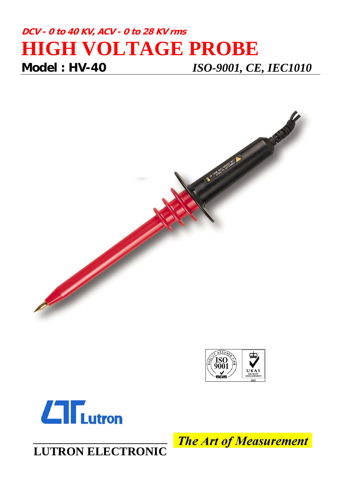## **DCV - 0 to 40 KV, ACV - 0 to 28 KV rms HIGH VOLTAGE PROBE Model : HV-40** *ISO-9001, CE, IEC1010*







**LUTRON ELECTRONIC**

**The Art of Measurement**